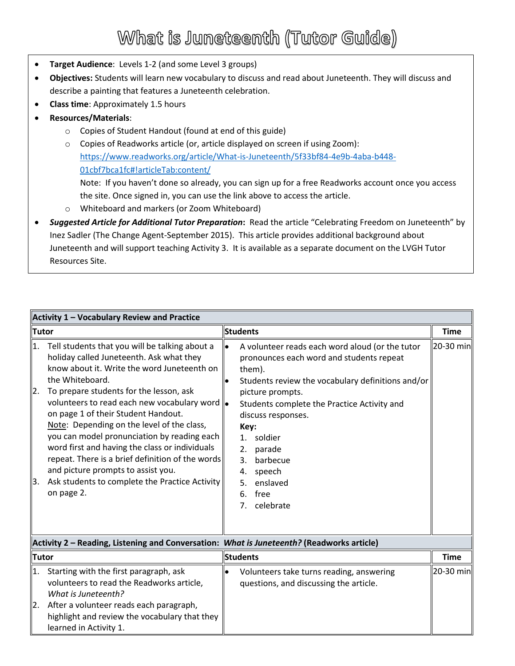## What is Juneteenth (Tutor Guide)

- **Target Audience**: Levels 1-2 (and some Level 3 groups)
- **Objectives:** Students will learn new vocabulary to discuss and read about Juneteenth. They will discuss and describe a painting that features a Juneteenth celebration.
- **Class time**: Approximately 1.5 hours
- **Resources/Materials**:
	- o Copies of Student Handout (found at end of this guide)
	- $\circ$  Copies of Readworks article (or, article displayed on screen if using Zoom): [https://www.readworks.org/article/What-is-Juneteenth/5f33bf84-4e9b-4aba-b448-](https://www.readworks.org/article/What-is-Juneteenth/5f33bf84-4e9b-4aba-b448-01cbf7bca1fc#!articleTab:content/) [01cbf7bca1fc#!articleTab:content/](https://www.readworks.org/article/What-is-Juneteenth/5f33bf84-4e9b-4aba-b448-01cbf7bca1fc#!articleTab:content/) Note: If you haven't done so already, you can sign up for a free Readworks account once you access
		- the site. Once signed in, you can use the link above to access the article.
	- o Whiteboard and markers (or Zoom Whiteboard)
- *Suggested Article for Additional Tutor Preparation***:** Read the article "Celebrating Freedom on Juneteenth" by Inez Sadler (The Change Agent-September 2015). This article provides additional background about Juneteenth and will support teaching Activity 3. It is available as a separate document on the LVGH Tutor Resources Site.

| Activity 1 - Vocabulary Review and Practice |                                                                                                                                                                                                                                                                                                                                                                                                                                                                                                                                                                                                            |                 |                                                                                                                                                                                                                                                                                                                                                                                                    |             |  |  |  |  |
|---------------------------------------------|------------------------------------------------------------------------------------------------------------------------------------------------------------------------------------------------------------------------------------------------------------------------------------------------------------------------------------------------------------------------------------------------------------------------------------------------------------------------------------------------------------------------------------------------------------------------------------------------------------|-----------------|----------------------------------------------------------------------------------------------------------------------------------------------------------------------------------------------------------------------------------------------------------------------------------------------------------------------------------------------------------------------------------------------------|-------------|--|--|--|--|
| <b>Tutor</b>                                |                                                                                                                                                                                                                                                                                                                                                                                                                                                                                                                                                                                                            | <b>Students</b> |                                                                                                                                                                                                                                                                                                                                                                                                    | <b>Time</b> |  |  |  |  |
| 1.<br>2.<br>3.                              | Tell students that you will be talking about a<br>holiday called Juneteenth. Ask what they<br>know about it. Write the word Juneteenth on<br>the Whiteboard.<br>To prepare students for the lesson, ask<br>volunteers to read each new vocabulary word   .<br>on page 1 of their Student Handout.<br>Note: Depending on the level of the class,<br>you can model pronunciation by reading each<br>word first and having the class or individuals<br>repeat. There is a brief definition of the words<br>and picture prompts to assist you.<br>Ask students to complete the Practice Activity<br>on page 2. |                 | A volunteer reads each word aloud (or the tutor<br>pronounces each word and students repeat<br>them).<br>Students review the vocabulary definitions and/or<br>picture prompts.<br>Students complete the Practice Activity and<br>discuss responses.<br>Key:<br>soldier<br>$1_{-}$<br>2.<br>parade<br>barbecue<br>3 <sub>1</sub><br>speech<br>4.<br>enslaved<br>5.<br>free<br>6.<br>celebrate<br>7. | 20-30 min   |  |  |  |  |
|                                             | Activity 2 - Reading, Listening and Conversation: What is Juneteenth? (Readworks article)                                                                                                                                                                                                                                                                                                                                                                                                                                                                                                                  |                 |                                                                                                                                                                                                                                                                                                                                                                                                    |             |  |  |  |  |
| <b>Tutor</b>                                |                                                                                                                                                                                                                                                                                                                                                                                                                                                                                                                                                                                                            | <b>Students</b> |                                                                                                                                                                                                                                                                                                                                                                                                    | <b>Time</b> |  |  |  |  |
| $\vert$ 1.<br> 2.                           | Starting with the first paragraph, ask<br>volunteers to read the Readworks article,<br>What is Juneteenth?<br>After a volunteer reads each paragraph,<br>highlight and review the vocabulary that they<br>learned in Activity 1.                                                                                                                                                                                                                                                                                                                                                                           |                 | Volunteers take turns reading, answering<br>questions, and discussing the article.                                                                                                                                                                                                                                                                                                                 | 20-30 min   |  |  |  |  |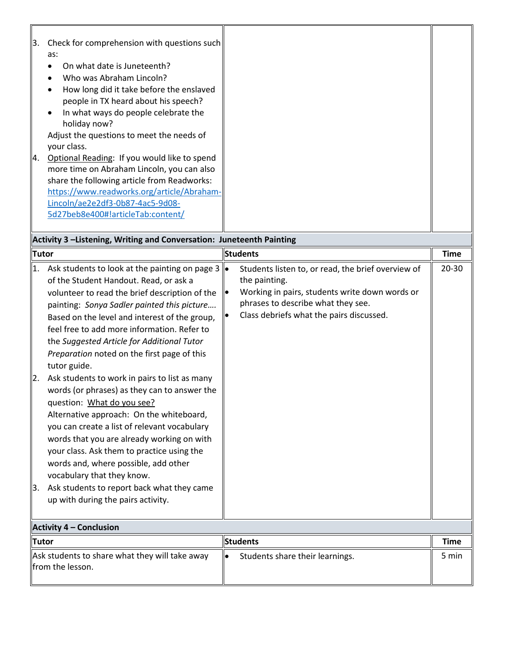| 13. | Check for comprehension with questions such  |  |
|-----|----------------------------------------------|--|
|     | as:                                          |  |
|     | On what date is Juneteenth?                  |  |
|     | Who was Abraham Lincoln?                     |  |
|     | How long did it take before the enslaved     |  |
|     | people in TX heard about his speech?         |  |
|     | In what ways do people celebrate the         |  |
|     | holiday now?                                 |  |
|     | Adjust the questions to meet the needs of    |  |
|     | your class.                                  |  |
| l4. | Optional Reading: If you would like to spend |  |
|     | more time on Abraham Lincoln, you can also   |  |
|     | share the following article from Readworks:  |  |
|     | https://www.readworks.org/article/Abraham-   |  |
|     | Lincoln/ae2e2df3-0b87-4ac5-9d08-             |  |
|     | 5d27beb8e400#!articleTab:content/            |  |
|     |                                              |  |

| Activity 3 -Listening, Writing and Conversation: Juneteenth Painting |                                                                                                                                                                                                                                                                                                                                                                                                                                                                                                                                                                                                                                                                                                                                                                                                                                                                                         |                 |                                                                                                                                                                                                         |             |  |
|----------------------------------------------------------------------|-----------------------------------------------------------------------------------------------------------------------------------------------------------------------------------------------------------------------------------------------------------------------------------------------------------------------------------------------------------------------------------------------------------------------------------------------------------------------------------------------------------------------------------------------------------------------------------------------------------------------------------------------------------------------------------------------------------------------------------------------------------------------------------------------------------------------------------------------------------------------------------------|-----------------|---------------------------------------------------------------------------------------------------------------------------------------------------------------------------------------------------------|-------------|--|
| <b>Tutor</b>                                                         |                                                                                                                                                                                                                                                                                                                                                                                                                                                                                                                                                                                                                                                                                                                                                                                                                                                                                         | <b>Students</b> |                                                                                                                                                                                                         | <b>Time</b> |  |
| 1.<br>$\overline{2}$ .<br>3.                                         | Ask students to look at the painting on page 3<br>of the Student Handout. Read, or ask a<br>volunteer to read the brief description of the<br>painting: Sonya Sadler painted this picture<br>Based on the level and interest of the group,<br>feel free to add more information. Refer to<br>the Suggested Article for Additional Tutor<br>Preparation noted on the first page of this<br>tutor guide.<br>Ask students to work in pairs to list as many<br>words (or phrases) as they can to answer the<br>question: What do you see?<br>Alternative approach: On the whiteboard,<br>you can create a list of relevant vocabulary<br>words that you are already working on with<br>your class. Ask them to practice using the<br>words and, where possible, add other<br>vocabulary that they know.<br>Ask students to report back what they came<br>up with during the pairs activity. | le              | Students listen to, or read, the brief overview of<br>the painting.<br>Working in pairs, students write down words or<br>phrases to describe what they see.<br>Class debriefs what the pairs discussed. | $20 - 30$   |  |
|                                                                      | <b>Activity 4 - Conclusion</b>                                                                                                                                                                                                                                                                                                                                                                                                                                                                                                                                                                                                                                                                                                                                                                                                                                                          |                 |                                                                                                                                                                                                         |             |  |
| <b>Tutor</b>                                                         |                                                                                                                                                                                                                                                                                                                                                                                                                                                                                                                                                                                                                                                                                                                                                                                                                                                                                         |                 | <b>Students</b>                                                                                                                                                                                         | <b>Time</b> |  |
| Ask students to share what they will take away                       |                                                                                                                                                                                                                                                                                                                                                                                                                                                                                                                                                                                                                                                                                                                                                                                                                                                                                         | $\bullet$       | Students share their learnings.                                                                                                                                                                         | 5 min       |  |

from the lesson.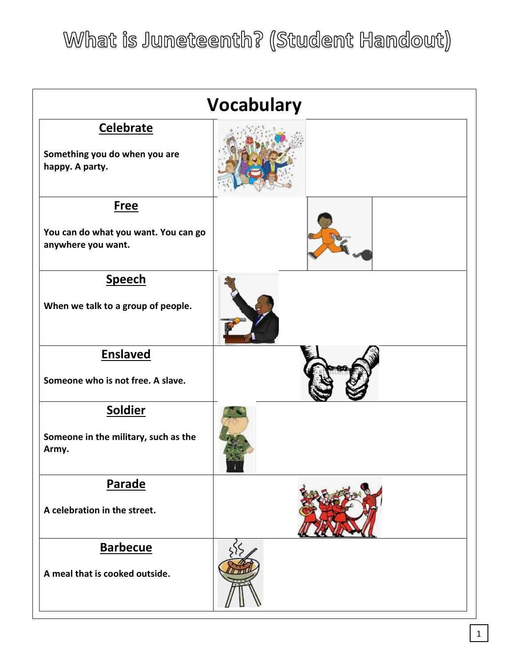What is Juneteenth? (Student Handout)

| <b>Vocabulary</b>                                                         |  |  |  |  |
|---------------------------------------------------------------------------|--|--|--|--|
| <b>Celebrate</b><br>Something you do when you are<br>happy. A party.      |  |  |  |  |
| <b>Free</b><br>You can do what you want. You can go<br>anywhere you want. |  |  |  |  |
| <b>Speech</b><br>When we talk to a group of people.                       |  |  |  |  |
| <b>Enslaved</b><br>Someone who is not free. A slave.                      |  |  |  |  |
| Soldier<br>Someone in the military, such as the<br>Army.                  |  |  |  |  |
| Parade<br>A celebration in the street.                                    |  |  |  |  |
| <b>Barbecue</b><br>A meal that is cooked outside.                         |  |  |  |  |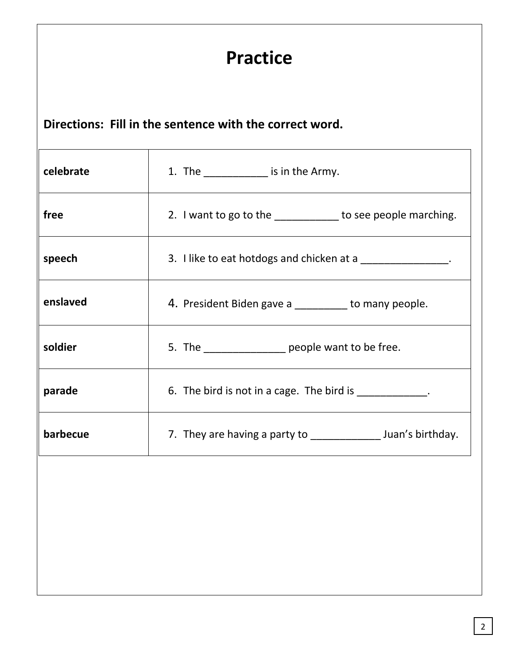| <b>Practice</b>                                         |                                                                 |  |  |  |  |  |  |
|---------------------------------------------------------|-----------------------------------------------------------------|--|--|--|--|--|--|
| Directions: Fill in the sentence with the correct word. |                                                                 |  |  |  |  |  |  |
| celebrate                                               | 1. The _____________ is in the Army.                            |  |  |  |  |  |  |
| free                                                    | 2. I want to go to the _____________ to see people marching.    |  |  |  |  |  |  |
| speech                                                  | 3. I like to eat hotdogs and chicken at a _______________.      |  |  |  |  |  |  |
| enslaved                                                | 4. President Biden gave a _______ to many people.               |  |  |  |  |  |  |
| soldier                                                 | 5. The __________________ people want to be free.               |  |  |  |  |  |  |
| parade                                                  | 6. The bird is not in a cage. The bird is ____________.         |  |  |  |  |  |  |
| barbecue                                                | 7. They are having a party to ________________ Juan's birthday. |  |  |  |  |  |  |
|                                                         |                                                                 |  |  |  |  |  |  |
|                                                         |                                                                 |  |  |  |  |  |  |
|                                                         |                                                                 |  |  |  |  |  |  |